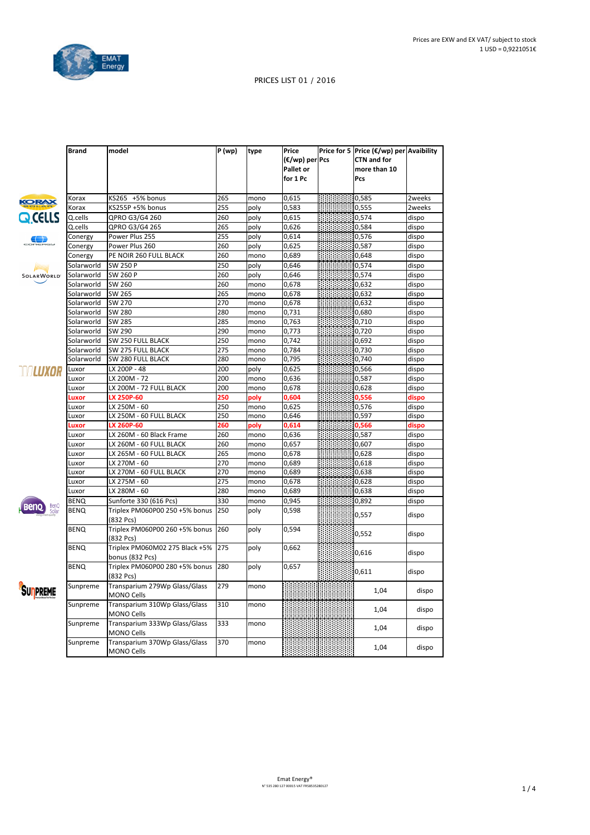

|                   | <b>Brand</b> | model                                              | $\overline{P}$ (wp) | type | Price          | Price for 5   Price (€/wp) per Avaibility |        |
|-------------------|--------------|----------------------------------------------------|---------------------|------|----------------|-------------------------------------------|--------|
|                   |              |                                                    |                     |      | (€/wp) per Pcs | <b>CTN and for</b>                        |        |
|                   |              |                                                    |                     |      | Pallet or      | more than 10                              |        |
|                   |              |                                                    |                     |      | for 1 Pc       | Pcs                                       |        |
|                   |              |                                                    |                     |      |                |                                           |        |
| <b>KORAX</b>      | Korax        | KS265 +5% bonus                                    | 265                 | mono | 0,615          | 0,585                                     | 2weeks |
|                   | Korax        | KS255P +5% bonus                                   | 255                 | poly | 0,583          | 0,555                                     | 2weeks |
| QCELLS            | Q.cells      | QPRO G3/G4 260                                     | 260                 | poly | 0,615          | 0,574                                     | dispo  |
|                   | Q.cells      | QPRO G3/G4 265                                     | 265                 | poly | 0,626          | 0,584                                     | dispo  |
| Œ                 | Conergy      | Power Plus 255                                     | 255                 | poly | 0,614          | 0,576                                     | dispo  |
|                   | Conergy      | Power Plus 260                                     | 260                 | poly | 0,625          | 0,587                                     | dispo  |
|                   | Conergy      | PE NOIR 260 FULL BLACK                             | 260                 | mono | 0,689          | 0,648                                     | dispo  |
| IIIIIIIIII        | Solarworld   | SW 250 P                                           | 250                 | poly | 0,646          | 0,574                                     | dispo  |
| <b>SOLARWORLD</b> | Solarworld   | SW 260 P                                           | 260                 | poly | 0,646          | 0,574                                     | dispo  |
|                   | Solarworld   | SW 260                                             | 260                 | mono | 0,678          | 0,632                                     | dispo  |
|                   | Solarworld   | SW 265                                             | 265                 | mono | 0,678          | 0,632                                     | dispo  |
|                   | Solarworld   | SW 270                                             | 270                 | mono | 0,678          | 0,632                                     | dispo  |
|                   | Solarworld   | SW 280                                             | 280                 | mono | 0,731          | 0,680                                     | dispo  |
|                   | Solarworld   | SW 285                                             | 285                 | mono | 0,763          | 0,710                                     | dispo  |
|                   | Solarworld   | SW 290                                             | 290                 | mono | 0,773          | 0,720                                     | dispo  |
|                   | Solarworld   | SW 250 FULL BLACK                                  | 250                 | mono | 0,742          | 0,692                                     | dispo  |
|                   | Solarworld   | SW 275 FULL BLACK                                  | 275                 | mono | 0,784          | 0,730                                     | dispo  |
|                   | Solarworld   | SW 280 FULL BLACK                                  | 280                 | mono | 0,795          | 0,740                                     | dispo  |
| <b>MALUXOR</b>    | Luxor        | LX 200P - 48                                       | 200                 | poly | 0,625          | 0,566                                     | dispo  |
|                   | Luxor        | LX 200M - 72                                       | 200                 | mono | 0,636          | 0,587                                     | dispo  |
|                   | Luxor        | LX 200M - 72 FULL BLACK                            | 200                 | mono | 0,678          | 0,628                                     | dispo  |
|                   | Luxor        | LX 250P-60                                         | 250                 | poly | 0,604          | 0,556                                     | dispo  |
|                   | Luxor        | LX 250M - 60                                       | 250                 | mono | 0,625          | 0,576                                     | dispo  |
|                   | Luxor        | LX 250M - 60 FULL BLACK                            | 250                 | mono | 0,646          | 0,597                                     | dispo  |
|                   | uxor.        | LX 260P-60                                         | 260                 | poly | 0,614          | 0,566                                     | dispo  |
|                   | Luxor        | LX 260M - 60 Black Frame                           | 260                 | mono | 0,636          | 0,587                                     | dispo  |
|                   | Luxor        | LX 260M - 60 FULL BLACK                            | 260                 | mono | 0,657          | 0,607                                     | dispo  |
|                   | Luxor        | LX 265M - 60 FULL BLACK                            | 265                 | mono | 0,678          | 0,628                                     | dispo  |
|                   | Luxor        | LX 270M - 60                                       | 270                 | mono | 0,689          | 0,618                                     | dispo  |
|                   | Luxor        | LX 270M - 60 FULL BLACK                            | 270                 | mono | 0,689          | 0,638                                     | dispo  |
|                   | Luxor        | LX 275M - 60                                       | 275                 | mono | 0,678          | 0,628                                     | dispo  |
|                   | Luxor        | LX 280M - 60                                       | 280                 | mono | 0,689          | 0,638                                     | dispo  |
|                   | <b>BENQ</b>  | Sunforte 330 (616 Pcs)                             | 330                 | mono | 0,945          | 0,892                                     | dispo  |
|                   | <b>BENQ</b>  | Triplex PM060P00 250 +5% bonus<br>(832 Pcs)        | 250                 | poly | 0,598          | 0,557                                     | dispo  |
|                   | <b>BENQ</b>  | Triplex PM060P00 260 +5% bonus<br>(832 Pcs)        | 260                 | poly | 0,594          | 0,552                                     | dispo  |
|                   | <b>BENQ</b>  | Triplex PM060M02 275 Black +5%<br>bonus (832 Pcs)  | 275                 | poly | 0,662          | 0,616                                     | dispo  |
|                   | <b>BENQ</b>  | Triplex PM060P00 280 +5% bonus<br>(832 Pcs)        | 280                 | poly | 0,657          | 0,611                                     | dispo  |
| SUPPREME          | Sunpreme     | Transparium 279Wp Glass/Glass<br><b>MONO Cells</b> | 279                 | mono |                | 1,04                                      | dispo  |
|                   | Sunpreme     | Transparium 310Wp Glass/Glass<br><b>MONO Cells</b> | 310                 | mono |                | 1,04                                      | dispo  |
|                   | Sunpreme     | Transparium 333Wp Glass/Glass<br><b>MONO Cells</b> | 333                 | mono |                | 1,04                                      | dispo  |
|                   | Sunpreme     | Transparium 370Wp Glass/Glass<br><b>MONO Cells</b> | 370                 | mono |                | 1,04                                      | dispo  |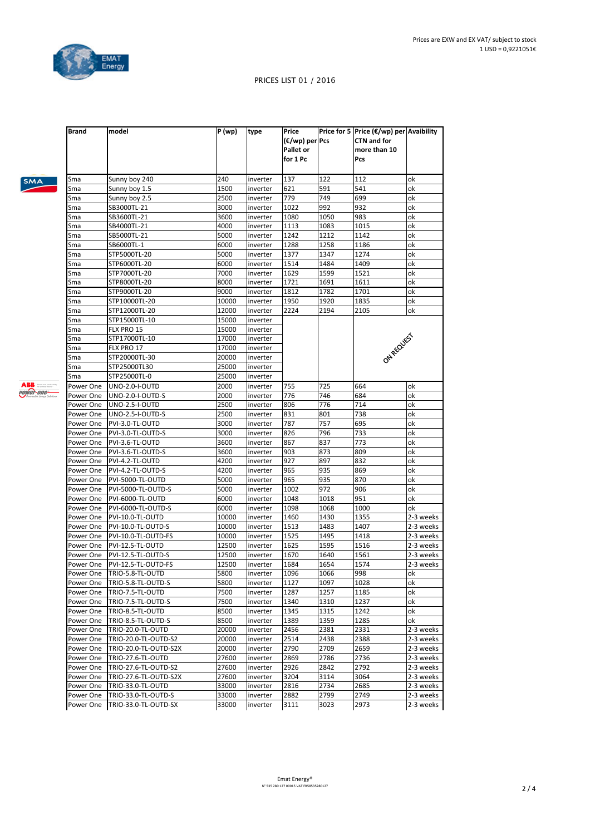

|  | SMA |  |
|--|-----|--|
|  |     |  |
|  |     |  |

| Loway |
|-------|
|       |

| Sunny boy 240<br>Sunny boy 1.5<br>Sunny boy 2.5 | 240                                                                                                                                                                                                                                                                                                                                                                                                                                                                                                                                                                                                                                                                                                                                                                  |                                                                                                                                                                                                                                                                                             |                                                                                                                                                                                                                                                                                                                                                                                                                      |                                                                                                                                                                                                                                                                    | Pcs                                                                                                                                                                                                                                                                      |                                                                                                                                                                                                                                                                                |
|-------------------------------------------------|----------------------------------------------------------------------------------------------------------------------------------------------------------------------------------------------------------------------------------------------------------------------------------------------------------------------------------------------------------------------------------------------------------------------------------------------------------------------------------------------------------------------------------------------------------------------------------------------------------------------------------------------------------------------------------------------------------------------------------------------------------------------|---------------------------------------------------------------------------------------------------------------------------------------------------------------------------------------------------------------------------------------------------------------------------------------------|----------------------------------------------------------------------------------------------------------------------------------------------------------------------------------------------------------------------------------------------------------------------------------------------------------------------------------------------------------------------------------------------------------------------|--------------------------------------------------------------------------------------------------------------------------------------------------------------------------------------------------------------------------------------------------------------------|--------------------------------------------------------------------------------------------------------------------------------------------------------------------------------------------------------------------------------------------------------------------------|--------------------------------------------------------------------------------------------------------------------------------------------------------------------------------------------------------------------------------------------------------------------------------|
|                                                 |                                                                                                                                                                                                                                                                                                                                                                                                                                                                                                                                                                                                                                                                                                                                                                      | inverter                                                                                                                                                                                                                                                                                    | 137                                                                                                                                                                                                                                                                                                                                                                                                                  | 122                                                                                                                                                                                                                                                                | 112                                                                                                                                                                                                                                                                      | ok                                                                                                                                                                                                                                                                             |
|                                                 | 1500                                                                                                                                                                                                                                                                                                                                                                                                                                                                                                                                                                                                                                                                                                                                                                 | inverter                                                                                                                                                                                                                                                                                    | 621                                                                                                                                                                                                                                                                                                                                                                                                                  | 591                                                                                                                                                                                                                                                                | 541                                                                                                                                                                                                                                                                      | ok                                                                                                                                                                                                                                                                             |
|                                                 | 2500                                                                                                                                                                                                                                                                                                                                                                                                                                                                                                                                                                                                                                                                                                                                                                 | inverter                                                                                                                                                                                                                                                                                    | 779                                                                                                                                                                                                                                                                                                                                                                                                                  | 749                                                                                                                                                                                                                                                                | 699                                                                                                                                                                                                                                                                      | ok                                                                                                                                                                                                                                                                             |
| SB3000TL-21                                     | 3000                                                                                                                                                                                                                                                                                                                                                                                                                                                                                                                                                                                                                                                                                                                                                                 | inverter                                                                                                                                                                                                                                                                                    | 1022                                                                                                                                                                                                                                                                                                                                                                                                                 | 992                                                                                                                                                                                                                                                                | 932                                                                                                                                                                                                                                                                      | οk                                                                                                                                                                                                                                                                             |
| SB3600TL-21                                     | 3600                                                                                                                                                                                                                                                                                                                                                                                                                                                                                                                                                                                                                                                                                                                                                                 | inverter                                                                                                                                                                                                                                                                                    | 1080                                                                                                                                                                                                                                                                                                                                                                                                                 | 1050                                                                                                                                                                                                                                                               | 983                                                                                                                                                                                                                                                                      | ok                                                                                                                                                                                                                                                                             |
| SB4000TL-21                                     | 4000                                                                                                                                                                                                                                                                                                                                                                                                                                                                                                                                                                                                                                                                                                                                                                 | inverter                                                                                                                                                                                                                                                                                    | 1113                                                                                                                                                                                                                                                                                                                                                                                                                 | 1083                                                                                                                                                                                                                                                               | 1015                                                                                                                                                                                                                                                                     | оk                                                                                                                                                                                                                                                                             |
| SB5000TL-21                                     | 5000                                                                                                                                                                                                                                                                                                                                                                                                                                                                                                                                                                                                                                                                                                                                                                 | inverter                                                                                                                                                                                                                                                                                    | 1242                                                                                                                                                                                                                                                                                                                                                                                                                 | 1212                                                                                                                                                                                                                                                               | 1142                                                                                                                                                                                                                                                                     | ok                                                                                                                                                                                                                                                                             |
| SB6000TL-1                                      | 6000                                                                                                                                                                                                                                                                                                                                                                                                                                                                                                                                                                                                                                                                                                                                                                 | inverter                                                                                                                                                                                                                                                                                    | 1288                                                                                                                                                                                                                                                                                                                                                                                                                 | 1258                                                                                                                                                                                                                                                               | 1186                                                                                                                                                                                                                                                                     | ok                                                                                                                                                                                                                                                                             |
| STP5000TL-20                                    | 5000                                                                                                                                                                                                                                                                                                                                                                                                                                                                                                                                                                                                                                                                                                                                                                 | inverter                                                                                                                                                                                                                                                                                    | 1377                                                                                                                                                                                                                                                                                                                                                                                                                 | 1347                                                                                                                                                                                                                                                               | 1274                                                                                                                                                                                                                                                                     | ok                                                                                                                                                                                                                                                                             |
| STP6000TL-20                                    | 6000                                                                                                                                                                                                                                                                                                                                                                                                                                                                                                                                                                                                                                                                                                                                                                 | inverter                                                                                                                                                                                                                                                                                    | 1514                                                                                                                                                                                                                                                                                                                                                                                                                 | 1484                                                                                                                                                                                                                                                               | 1409                                                                                                                                                                                                                                                                     | оk                                                                                                                                                                                                                                                                             |
| STP7000TL-20                                    | 7000                                                                                                                                                                                                                                                                                                                                                                                                                                                                                                                                                                                                                                                                                                                                                                 | inverter                                                                                                                                                                                                                                                                                    | 1629                                                                                                                                                                                                                                                                                                                                                                                                                 | 1599                                                                                                                                                                                                                                                               | 1521                                                                                                                                                                                                                                                                     | οk                                                                                                                                                                                                                                                                             |
| STP8000TL-20                                    | 8000                                                                                                                                                                                                                                                                                                                                                                                                                                                                                                                                                                                                                                                                                                                                                                 | inverter                                                                                                                                                                                                                                                                                    | 1721                                                                                                                                                                                                                                                                                                                                                                                                                 | 1691                                                                                                                                                                                                                                                               | 1611                                                                                                                                                                                                                                                                     | οk                                                                                                                                                                                                                                                                             |
| STP9000TL-20                                    | 9000                                                                                                                                                                                                                                                                                                                                                                                                                                                                                                                                                                                                                                                                                                                                                                 | inverter                                                                                                                                                                                                                                                                                    | 1812                                                                                                                                                                                                                                                                                                                                                                                                                 | 1782                                                                                                                                                                                                                                                               | 1701                                                                                                                                                                                                                                                                     | οk                                                                                                                                                                                                                                                                             |
| STP10000TL-20                                   | 10000                                                                                                                                                                                                                                                                                                                                                                                                                                                                                                                                                                                                                                                                                                                                                                | inverter                                                                                                                                                                                                                                                                                    | 1950                                                                                                                                                                                                                                                                                                                                                                                                                 | 1920                                                                                                                                                                                                                                                               | 1835                                                                                                                                                                                                                                                                     | ok                                                                                                                                                                                                                                                                             |
| STP12000TL-20                                   | 12000                                                                                                                                                                                                                                                                                                                                                                                                                                                                                                                                                                                                                                                                                                                                                                | inverter                                                                                                                                                                                                                                                                                    | 2224                                                                                                                                                                                                                                                                                                                                                                                                                 | 2194                                                                                                                                                                                                                                                               | 2105                                                                                                                                                                                                                                                                     | ok                                                                                                                                                                                                                                                                             |
| STP15000TL-10                                   | 15000                                                                                                                                                                                                                                                                                                                                                                                                                                                                                                                                                                                                                                                                                                                                                                | inverter                                                                                                                                                                                                                                                                                    |                                                                                                                                                                                                                                                                                                                                                                                                                      |                                                                                                                                                                                                                                                                    |                                                                                                                                                                                                                                                                          |                                                                                                                                                                                                                                                                                |
| FLX PRO 15                                      | 15000                                                                                                                                                                                                                                                                                                                                                                                                                                                                                                                                                                                                                                                                                                                                                                | inverter                                                                                                                                                                                                                                                                                    |                                                                                                                                                                                                                                                                                                                                                                                                                      |                                                                                                                                                                                                                                                                    |                                                                                                                                                                                                                                                                          |                                                                                                                                                                                                                                                                                |
| STP17000TL-10                                   | 17000                                                                                                                                                                                                                                                                                                                                                                                                                                                                                                                                                                                                                                                                                                                                                                | inverter                                                                                                                                                                                                                                                                                    |                                                                                                                                                                                                                                                                                                                                                                                                                      |                                                                                                                                                                                                                                                                    |                                                                                                                                                                                                                                                                          |                                                                                                                                                                                                                                                                                |
| FLX PRO 17                                      | 17000                                                                                                                                                                                                                                                                                                                                                                                                                                                                                                                                                                                                                                                                                                                                                                | inverter                                                                                                                                                                                                                                                                                    |                                                                                                                                                                                                                                                                                                                                                                                                                      |                                                                                                                                                                                                                                                                    |                                                                                                                                                                                                                                                                          |                                                                                                                                                                                                                                                                                |
| STP20000TL-30                                   | 20000                                                                                                                                                                                                                                                                                                                                                                                                                                                                                                                                                                                                                                                                                                                                                                | inverter                                                                                                                                                                                                                                                                                    |                                                                                                                                                                                                                                                                                                                                                                                                                      |                                                                                                                                                                                                                                                                    |                                                                                                                                                                                                                                                                          |                                                                                                                                                                                                                                                                                |
| STP25000TL30                                    | 25000                                                                                                                                                                                                                                                                                                                                                                                                                                                                                                                                                                                                                                                                                                                                                                | inverter                                                                                                                                                                                                                                                                                    |                                                                                                                                                                                                                                                                                                                                                                                                                      |                                                                                                                                                                                                                                                                    |                                                                                                                                                                                                                                                                          |                                                                                                                                                                                                                                                                                |
| STP25000TL-0                                    | 25000                                                                                                                                                                                                                                                                                                                                                                                                                                                                                                                                                                                                                                                                                                                                                                | inverter                                                                                                                                                                                                                                                                                    |                                                                                                                                                                                                                                                                                                                                                                                                                      |                                                                                                                                                                                                                                                                    |                                                                                                                                                                                                                                                                          |                                                                                                                                                                                                                                                                                |
| <b>UNO-2.0-I-OUTD</b>                           | 2000                                                                                                                                                                                                                                                                                                                                                                                                                                                                                                                                                                                                                                                                                                                                                                 | inverter                                                                                                                                                                                                                                                                                    | 755                                                                                                                                                                                                                                                                                                                                                                                                                  |                                                                                                                                                                                                                                                                    | 664                                                                                                                                                                                                                                                                      | ok                                                                                                                                                                                                                                                                             |
|                                                 |                                                                                                                                                                                                                                                                                                                                                                                                                                                                                                                                                                                                                                                                                                                                                                      |                                                                                                                                                                                                                                                                                             |                                                                                                                                                                                                                                                                                                                                                                                                                      |                                                                                                                                                                                                                                                                    |                                                                                                                                                                                                                                                                          | ok                                                                                                                                                                                                                                                                             |
|                                                 |                                                                                                                                                                                                                                                                                                                                                                                                                                                                                                                                                                                                                                                                                                                                                                      |                                                                                                                                                                                                                                                                                             |                                                                                                                                                                                                                                                                                                                                                                                                                      |                                                                                                                                                                                                                                                                    |                                                                                                                                                                                                                                                                          | ok                                                                                                                                                                                                                                                                             |
|                                                 |                                                                                                                                                                                                                                                                                                                                                                                                                                                                                                                                                                                                                                                                                                                                                                      |                                                                                                                                                                                                                                                                                             |                                                                                                                                                                                                                                                                                                                                                                                                                      |                                                                                                                                                                                                                                                                    |                                                                                                                                                                                                                                                                          | ok                                                                                                                                                                                                                                                                             |
|                                                 |                                                                                                                                                                                                                                                                                                                                                                                                                                                                                                                                                                                                                                                                                                                                                                      |                                                                                                                                                                                                                                                                                             |                                                                                                                                                                                                                                                                                                                                                                                                                      |                                                                                                                                                                                                                                                                    |                                                                                                                                                                                                                                                                          | ok                                                                                                                                                                                                                                                                             |
|                                                 |                                                                                                                                                                                                                                                                                                                                                                                                                                                                                                                                                                                                                                                                                                                                                                      |                                                                                                                                                                                                                                                                                             |                                                                                                                                                                                                                                                                                                                                                                                                                      |                                                                                                                                                                                                                                                                    |                                                                                                                                                                                                                                                                          | ok                                                                                                                                                                                                                                                                             |
|                                                 |                                                                                                                                                                                                                                                                                                                                                                                                                                                                                                                                                                                                                                                                                                                                                                      |                                                                                                                                                                                                                                                                                             |                                                                                                                                                                                                                                                                                                                                                                                                                      |                                                                                                                                                                                                                                                                    |                                                                                                                                                                                                                                                                          | оk                                                                                                                                                                                                                                                                             |
|                                                 |                                                                                                                                                                                                                                                                                                                                                                                                                                                                                                                                                                                                                                                                                                                                                                      |                                                                                                                                                                                                                                                                                             |                                                                                                                                                                                                                                                                                                                                                                                                                      |                                                                                                                                                                                                                                                                    |                                                                                                                                                                                                                                                                          | оk                                                                                                                                                                                                                                                                             |
|                                                 |                                                                                                                                                                                                                                                                                                                                                                                                                                                                                                                                                                                                                                                                                                                                                                      |                                                                                                                                                                                                                                                                                             |                                                                                                                                                                                                                                                                                                                                                                                                                      |                                                                                                                                                                                                                                                                    |                                                                                                                                                                                                                                                                          | ok                                                                                                                                                                                                                                                                             |
|                                                 |                                                                                                                                                                                                                                                                                                                                                                                                                                                                                                                                                                                                                                                                                                                                                                      |                                                                                                                                                                                                                                                                                             |                                                                                                                                                                                                                                                                                                                                                                                                                      |                                                                                                                                                                                                                                                                    |                                                                                                                                                                                                                                                                          | ok                                                                                                                                                                                                                                                                             |
|                                                 |                                                                                                                                                                                                                                                                                                                                                                                                                                                                                                                                                                                                                                                                                                                                                                      |                                                                                                                                                                                                                                                                                             |                                                                                                                                                                                                                                                                                                                                                                                                                      |                                                                                                                                                                                                                                                                    |                                                                                                                                                                                                                                                                          | ok                                                                                                                                                                                                                                                                             |
|                                                 |                                                                                                                                                                                                                                                                                                                                                                                                                                                                                                                                                                                                                                                                                                                                                                      |                                                                                                                                                                                                                                                                                             |                                                                                                                                                                                                                                                                                                                                                                                                                      |                                                                                                                                                                                                                                                                    |                                                                                                                                                                                                                                                                          | ok                                                                                                                                                                                                                                                                             |
|                                                 |                                                                                                                                                                                                                                                                                                                                                                                                                                                                                                                                                                                                                                                                                                                                                                      |                                                                                                                                                                                                                                                                                             |                                                                                                                                                                                                                                                                                                                                                                                                                      |                                                                                                                                                                                                                                                                    |                                                                                                                                                                                                                                                                          | ok                                                                                                                                                                                                                                                                             |
|                                                 |                                                                                                                                                                                                                                                                                                                                                                                                                                                                                                                                                                                                                                                                                                                                                                      |                                                                                                                                                                                                                                                                                             |                                                                                                                                                                                                                                                                                                                                                                                                                      |                                                                                                                                                                                                                                                                    |                                                                                                                                                                                                                                                                          | οk                                                                                                                                                                                                                                                                             |
|                                                 |                                                                                                                                                                                                                                                                                                                                                                                                                                                                                                                                                                                                                                                                                                                                                                      |                                                                                                                                                                                                                                                                                             |                                                                                                                                                                                                                                                                                                                                                                                                                      |                                                                                                                                                                                                                                                                    |                                                                                                                                                                                                                                                                          | 2-3 weeks                                                                                                                                                                                                                                                                      |
|                                                 |                                                                                                                                                                                                                                                                                                                                                                                                                                                                                                                                                                                                                                                                                                                                                                      |                                                                                                                                                                                                                                                                                             |                                                                                                                                                                                                                                                                                                                                                                                                                      |                                                                                                                                                                                                                                                                    |                                                                                                                                                                                                                                                                          | 2-3 weeks                                                                                                                                                                                                                                                                      |
|                                                 |                                                                                                                                                                                                                                                                                                                                                                                                                                                                                                                                                                                                                                                                                                                                                                      |                                                                                                                                                                                                                                                                                             |                                                                                                                                                                                                                                                                                                                                                                                                                      |                                                                                                                                                                                                                                                                    |                                                                                                                                                                                                                                                                          | 2-3 weeks                                                                                                                                                                                                                                                                      |
|                                                 |                                                                                                                                                                                                                                                                                                                                                                                                                                                                                                                                                                                                                                                                                                                                                                      |                                                                                                                                                                                                                                                                                             |                                                                                                                                                                                                                                                                                                                                                                                                                      |                                                                                                                                                                                                                                                                    |                                                                                                                                                                                                                                                                          | 2-3 weeks                                                                                                                                                                                                                                                                      |
|                                                 |                                                                                                                                                                                                                                                                                                                                                                                                                                                                                                                                                                                                                                                                                                                                                                      |                                                                                                                                                                                                                                                                                             |                                                                                                                                                                                                                                                                                                                                                                                                                      |                                                                                                                                                                                                                                                                    |                                                                                                                                                                                                                                                                          | 2-3 weeks                                                                                                                                                                                                                                                                      |
|                                                 |                                                                                                                                                                                                                                                                                                                                                                                                                                                                                                                                                                                                                                                                                                                                                                      |                                                                                                                                                                                                                                                                                             |                                                                                                                                                                                                                                                                                                                                                                                                                      |                                                                                                                                                                                                                                                                    |                                                                                                                                                                                                                                                                          | 2-3 weeks                                                                                                                                                                                                                                                                      |
|                                                 |                                                                                                                                                                                                                                                                                                                                                                                                                                                                                                                                                                                                                                                                                                                                                                      |                                                                                                                                                                                                                                                                                             |                                                                                                                                                                                                                                                                                                                                                                                                                      |                                                                                                                                                                                                                                                                    |                                                                                                                                                                                                                                                                          | ok                                                                                                                                                                                                                                                                             |
|                                                 |                                                                                                                                                                                                                                                                                                                                                                                                                                                                                                                                                                                                                                                                                                                                                                      |                                                                                                                                                                                                                                                                                             |                                                                                                                                                                                                                                                                                                                                                                                                                      |                                                                                                                                                                                                                                                                    |                                                                                                                                                                                                                                                                          | ok                                                                                                                                                                                                                                                                             |
|                                                 |                                                                                                                                                                                                                                                                                                                                                                                                                                                                                                                                                                                                                                                                                                                                                                      |                                                                                                                                                                                                                                                                                             |                                                                                                                                                                                                                                                                                                                                                                                                                      |                                                                                                                                                                                                                                                                    |                                                                                                                                                                                                                                                                          | оk                                                                                                                                                                                                                                                                             |
|                                                 |                                                                                                                                                                                                                                                                                                                                                                                                                                                                                                                                                                                                                                                                                                                                                                      |                                                                                                                                                                                                                                                                                             |                                                                                                                                                                                                                                                                                                                                                                                                                      |                                                                                                                                                                                                                                                                    |                                                                                                                                                                                                                                                                          | ok                                                                                                                                                                                                                                                                             |
|                                                 |                                                                                                                                                                                                                                                                                                                                                                                                                                                                                                                                                                                                                                                                                                                                                                      |                                                                                                                                                                                                                                                                                             |                                                                                                                                                                                                                                                                                                                                                                                                                      |                                                                                                                                                                                                                                                                    |                                                                                                                                                                                                                                                                          | ok                                                                                                                                                                                                                                                                             |
|                                                 |                                                                                                                                                                                                                                                                                                                                                                                                                                                                                                                                                                                                                                                                                                                                                                      |                                                                                                                                                                                                                                                                                             |                                                                                                                                                                                                                                                                                                                                                                                                                      |                                                                                                                                                                                                                                                                    |                                                                                                                                                                                                                                                                          | ok                                                                                                                                                                                                                                                                             |
|                                                 |                                                                                                                                                                                                                                                                                                                                                                                                                                                                                                                                                                                                                                                                                                                                                                      |                                                                                                                                                                                                                                                                                             |                                                                                                                                                                                                                                                                                                                                                                                                                      |                                                                                                                                                                                                                                                                    |                                                                                                                                                                                                                                                                          | 2-3 weeks                                                                                                                                                                                                                                                                      |
|                                                 |                                                                                                                                                                                                                                                                                                                                                                                                                                                                                                                                                                                                                                                                                                                                                                      |                                                                                                                                                                                                                                                                                             |                                                                                                                                                                                                                                                                                                                                                                                                                      |                                                                                                                                                                                                                                                                    |                                                                                                                                                                                                                                                                          |                                                                                                                                                                                                                                                                                |
|                                                 |                                                                                                                                                                                                                                                                                                                                                                                                                                                                                                                                                                                                                                                                                                                                                                      |                                                                                                                                                                                                                                                                                             |                                                                                                                                                                                                                                                                                                                                                                                                                      |                                                                                                                                                                                                                                                                    |                                                                                                                                                                                                                                                                          | 2-3 weeks                                                                                                                                                                                                                                                                      |
|                                                 |                                                                                                                                                                                                                                                                                                                                                                                                                                                                                                                                                                                                                                                                                                                                                                      |                                                                                                                                                                                                                                                                                             |                                                                                                                                                                                                                                                                                                                                                                                                                      |                                                                                                                                                                                                                                                                    |                                                                                                                                                                                                                                                                          | 2-3 weeks                                                                                                                                                                                                                                                                      |
|                                                 |                                                                                                                                                                                                                                                                                                                                                                                                                                                                                                                                                                                                                                                                                                                                                                      |                                                                                                                                                                                                                                                                                             |                                                                                                                                                                                                                                                                                                                                                                                                                      |                                                                                                                                                                                                                                                                    |                                                                                                                                                                                                                                                                          | 2-3 weeks                                                                                                                                                                                                                                                                      |
|                                                 |                                                                                                                                                                                                                                                                                                                                                                                                                                                                                                                                                                                                                                                                                                                                                                      |                                                                                                                                                                                                                                                                                             |                                                                                                                                                                                                                                                                                                                                                                                                                      |                                                                                                                                                                                                                                                                    |                                                                                                                                                                                                                                                                          | 2-3 weeks                                                                                                                                                                                                                                                                      |
|                                                 |                                                                                                                                                                                                                                                                                                                                                                                                                                                                                                                                                                                                                                                                                                                                                                      |                                                                                                                                                                                                                                                                                             |                                                                                                                                                                                                                                                                                                                                                                                                                      |                                                                                                                                                                                                                                                                    |                                                                                                                                                                                                                                                                          | 2-3 weeks                                                                                                                                                                                                                                                                      |
|                                                 |                                                                                                                                                                                                                                                                                                                                                                                                                                                                                                                                                                                                                                                                                                                                                                      |                                                                                                                                                                                                                                                                                             |                                                                                                                                                                                                                                                                                                                                                                                                                      |                                                                                                                                                                                                                                                                    |                                                                                                                                                                                                                                                                          | 2-3 weeks                                                                                                                                                                                                                                                                      |
|                                                 |                                                                                                                                                                                                                                                                                                                                                                                                                                                                                                                                                                                                                                                                                                                                                                      |                                                                                                                                                                                                                                                                                             |                                                                                                                                                                                                                                                                                                                                                                                                                      |                                                                                                                                                                                                                                                                    |                                                                                                                                                                                                                                                                          | 2-3 weeks<br>2-3 weeks                                                                                                                                                                                                                                                         |
|                                                 | UNO-2.0-I-OUTD-S<br><b>UNO-2.5-I-OUTD</b><br>UNO-2.5-I-OUTD-S<br>PVI-3.0-TL-OUTD<br>PVI-3.0-TL-OUTD-S<br>PVI-3.6-TL-OUTD<br>PVI-3.6-TL-OUTD-S<br>PVI-4.2-TL-OUTD<br>PVI-4.2-TL-OUTD-S<br>PVI-5000-TL-OUTD<br>PVI-5000-TL-OUTD-S<br>PVI-6000-TL-OUTD<br>PVI-6000-TL-OUTD-S<br>PVI-10.0-TL-OUTD<br>PVI-10.0-TL-OUTD-S<br>PVI-10.0-TL-OUTD-FS<br>PVI-12.5-TL-OUTD<br>PVI-12.5-TL-OUTD-S<br>PVI-12.5-TL-OUTD-FS<br>Power One  TRIO-5.8-TL-OUTD<br>TRIO-5.8-TL-OUTD-S<br>TRIO-7.5-TL-OUTD<br>TRIO-7.5-TL-OUTD-S<br>TRIO-8.5-TL-OUTD<br>TRIO-8.5-TL-OUTD-S<br>TRIO-20.0-TL-OUTD<br>TRIO-20.0-TL-OUTD-S2<br>TRIO-20.0-TL-OUTD-S2X<br>TRIO-27.6-TL-OUTD<br>TRIO-27.6-TL-OUTD-S2<br>TRIO-27.6-TL-OUTD-S2X<br>TRIO-33.0-TL-OUTD<br>TRIO-33.0-TL-OUTD-S<br>TRIO-33.0-TL-OUTD-SX | 2000<br>2500<br>2500<br>3000<br>3000<br>3600<br>3600<br>4200<br>4200<br>5000<br>5000<br>6000<br>6000<br>10000<br>10000<br>10000<br>12500<br>12500<br>12500<br>5800<br>5800<br>7500<br>7500<br>8500<br>8500<br>20000<br>20000<br>20000<br>27600<br>27600<br>27600<br>33000<br>33000<br>33000 | inverter<br>inverter<br>inverter<br>inverter<br>inverter<br>inverter<br>inverter<br>inverter<br>inverter<br>inverter<br>inverter<br>inverter<br>inverter<br>inverter<br>inverter<br>inverter<br>inverter<br>inverter<br>inverter<br>inverter<br>inverter<br>inverter<br>inverter<br>inverter<br>inverter<br>inverter<br>inverter<br>inverter<br>inverter<br>inverter<br>inverter<br>inverter<br>inverter<br>inverter | 776<br>806<br>831<br>787<br>826<br>867<br>903<br>927<br>965<br>965<br>1002<br>1048<br>1098<br>1460<br>1513<br>1525<br>1625<br>1670<br>1684<br>1096<br>1127<br>1287<br>1340<br>1345<br>1389<br>2456<br>2514<br>2790<br>2869<br>2926<br>3204<br>2816<br>2882<br>3111 | 725<br>746<br>776<br>801<br>757<br>796<br>837<br>873<br>897<br>935<br>935<br>972<br>1018<br>1068<br>1430<br>1483<br>1495<br>1595<br>1640<br>1654<br>1066<br>1097<br>1257<br>1310<br>1315<br>1359<br>2381<br>2438<br>2709<br>2786<br>2842<br>3114<br>2734<br>2799<br>3023 | ON REQUISIT<br>684<br>714<br>738<br>695<br>733<br>773<br>809<br>832<br>869<br>870<br>906<br>951<br>1000<br>1355<br>1407<br>1418<br>1516<br>1561<br>1574<br>998<br>1028<br>1185<br>1237<br>1242<br>1285<br>2331<br>2388<br>2659<br>2736<br>2792<br>3064<br>2685<br>2749<br>2973 |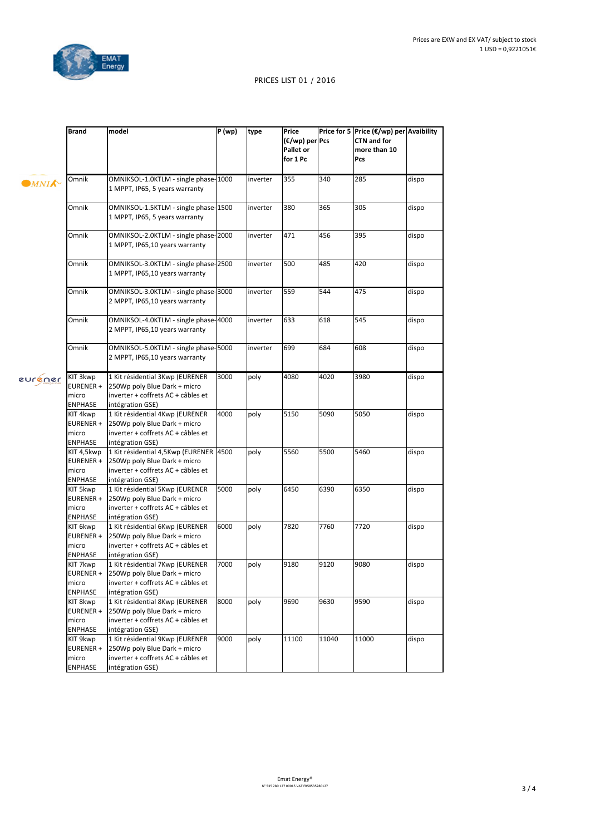

|                                     | <b>Brand</b>                                            | model                                                                                                                            | P(wp) | type     | Price<br>(€/wp) per Pcs<br>Pallet or<br>for 1 Pc |       | Price for 5 Price (€/wp) per Avaibility<br><b>CTN and for</b><br>more than 10<br>Pcs |       |
|-------------------------------------|---------------------------------------------------------|----------------------------------------------------------------------------------------------------------------------------------|-------|----------|--------------------------------------------------|-------|--------------------------------------------------------------------------------------|-------|
| $\blacksquare$ MNI $\blacktriangle$ | Omnik                                                   | OMNIKSOL-1.0KTLM - single phase-1000<br>1 MPPT, IP65, 5 years warranty                                                           |       | inverter | 355                                              | 340   | 285                                                                                  | dispo |
|                                     | Omnik                                                   | OMNIKSOL-1.5KTLM - single phase-1500<br>1 MPPT, IP65, 5 years warranty                                                           |       | inverter | 380                                              | 365   | 305                                                                                  | dispo |
|                                     | Omnik                                                   | OMNIKSOL-2.0KTLM - single phase-2000<br>1 MPPT, IP65,10 years warranty                                                           |       | inverter | 471                                              | 456   | 395                                                                                  | dispo |
|                                     | Omnik                                                   | OMNIKSOL-3.0KTLM - single phase-2500<br>1 MPPT, IP65,10 years warranty                                                           |       | inverter | 500                                              | 485   | 420                                                                                  | dispo |
|                                     | Omnik                                                   | OMNIKSOL-3.0KTLM - single phase-3000<br>2 MPPT, IP65,10 years warranty                                                           |       | inverter | 559                                              | 544   | 475                                                                                  | dispo |
|                                     | Omnik                                                   | OMNIKSOL-4.0KTLM - single phase-4000<br>2 MPPT, IP65,10 years warranty                                                           |       | inverter | 633                                              | 618   | 545                                                                                  | dispo |
|                                     | Omnik                                                   | OMNIKSOL-5.0KTLM - single phase-5000<br>2 MPPT, IP65,10 years warranty                                                           |       | inverter | 699                                              | 684   | 608                                                                                  | dispo |
| euréner                             | KIT 3kwp<br>EURENER +<br>micro<br><b>ENPHASE</b>        | 1 Kit résidential 3Kwp (EURENER<br>250Wp poly Blue Dark + micro<br>inverter + coffrets AC + câbles et<br>intégration GSE)        | 3000  | poly     | 4080                                             | 4020  | 3980                                                                                 | dispo |
|                                     | KIT 4kwp<br>EURENER +<br>micro<br><b>ENPHASE</b>        | 1 Kit résidential 4Kwp (EURENER<br>250Wp poly Blue Dark + micro<br>inverter + coffrets AC + câbles et<br>intégration GSE)        | 4000  | poly     | 5150                                             | 5090  | 5050                                                                                 | dispo |
|                                     | KIT 4,5kwp<br>EURENER +<br>micro<br><b>ENPHASE</b>      | 1 Kit résidential 4,5Kwp (EURENER 4500<br>250Wp poly Blue Dark + micro<br>inverter + coffrets AC + câbles et<br>intégration GSE) |       | poly     | 5560                                             | 5500  | 5460                                                                                 | dispo |
|                                     | KIT 5kwp<br>EURENER+<br>micro<br>ENPHASE                | 1 Kit résidential 5Kwp (EURENER<br>250Wp poly Blue Dark + micro<br>inverter + coffrets AC + câbles et<br>intégration GSE)        | 5000  | poly     | 6450                                             | 6390  | 6350                                                                                 | dispo |
|                                     | KIT 6kwp<br>EURENER +<br>micro<br>ENPHASE               | 1 Kit résidential 6Kwp (EURENER<br>250Wp poly Blue Dark + micro<br>inverter + coffrets AC + câbles et<br>intégration GSE)        | 6000  | poly     | 7820                                             | 7760  | 7720                                                                                 | dispo |
|                                     | KIT 7kwp<br>EURENER +<br>micro<br><b>ENPHASE</b>        | 1 Kit résidential 7Kwp (EURENER<br>250Wp poly Blue Dark + micro<br>inverter + coffrets AC + câbles et<br>intégration GSE)        | 7000  | poly     | 9180                                             | 9120  | 9080                                                                                 | dispo |
|                                     | KIT 8kwp<br>EURENER +<br>micro<br><b>ENPHASE</b>        | 1 Kit résidential 8Kwp (EURENER<br>250Wp poly Blue Dark + micro<br>inverter + coffrets AC + câbles et<br>intégration GSE)        | 8000  | poly     | 9690                                             | 9630  | 9590                                                                                 | dispo |
|                                     | KIT 9kwp<br><b>EURENER +</b><br>micro<br><b>ENPHASE</b> | 1 Kit résidential 9Kwp (EURENER<br>250Wp poly Blue Dark + micro<br>inverter + coffrets AC + câbles et<br>intégration GSE)        | 9000  | poly     | 11100                                            | 11040 | 11000                                                                                | dispo |